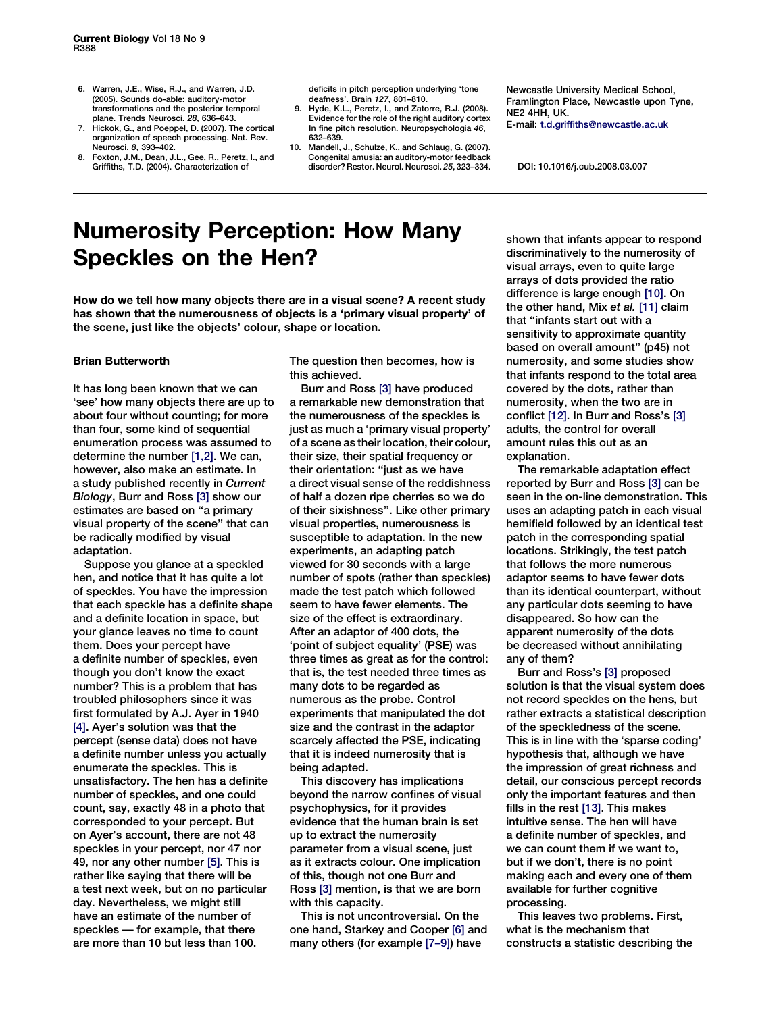- 6. Warren, J.E., Wise, R.J., and Warren, J.D. (2005). Sounds do-able: auditory-motor transformations and the posterior temporal plane. Trends Neurosci. 28, 636–643.
- 7. Hickok, G., and Poeppel, D. (2007). The cortical organization of speech processing. Nat. Rev. Neurosci. 8, 393–402.
- 8. Foxton, J.M., Dean, J.L., Gee, R., Peretz, I., and Griffiths, T.D. (2004). Characterization of

deficits in pitch perception underlying 'tone deafness'. Brain 127, 801–810.

- 9. Hyde, K.L., Peretz, I., and Zatorre, R.J. (2008). Evidence for the role of the right auditory cortex In fine pitch resolution. Neuropsychologia 46, 632–639.
- 10. Mandell, J., Schulze, K., and Schlaug, G. (2007). Congenital amusia: an auditory-motor feedback disorder? Restor. Neurol. Neurosci. 25, 323–334.

Newcastle University Medical School, Framlington Place, Newcastle upon Tyne, NE2 4HH, UK. E-mail: t.d.griffiths@newcastle.ac.uk

DOI: 10.1016/j.cub.2008.03.007

## Numerosity Perception: How Many Speckles on the Hen?

How do we tell how many objects there are in a visual scene? A recent study has shown that the numerousness of objects is a 'primary visual property' of the scene, just like the objects' colour, shape or location.

## Brian Butterworth

It has long been known that we can 'see' how many objects there are up to about four without counting; for more than four, some kind of sequential enumeration process was assumed to determine the number [\[1,2\].](#page-1-0) We can, however, also make an estimate. In a study published recently in Current Biology, Burr and Ross [\[3\]](#page-1-0) show our estimates are based on ''a primary visual property of the scene'' that can be radically modified by visual adaptation.

Suppose you glance at a speckled hen, and notice that it has quite a lot of speckles. You have the impression that each speckle has a definite shape and a definite location in space, but your glance leaves no time to count them. Does your percept have a definite number of speckles, even though you don't know the exact number? This is a problem that has troubled philosophers since it was first formulated by A.J. Ayer in 1940 [\[4\]](#page-1-0). Ayer's solution was that the percept (sense data) does not have a definite number unless you actually enumerate the speckles. This is unsatisfactory. The hen has a definite number of speckles, and one could count, say, exactly 48 in a photo that corresponded to your percept. But on Ayer's account, there are not 48 speckles in your percept, nor 47 nor 49, nor any other number [\[5\]](#page-1-0). This is rather like saying that there will be a test next week, but on no particular day. Nevertheless, we might still have an estimate of the number of speckles — for example, that there are more than 10 but less than 100.

The question then becomes, how is this achieved.

Burr and Ross [\[3\]](#page-1-0) have produced a remarkable new demonstration that the numerousness of the speckles is just as much a 'primary visual property' of a scene as their location, their colour, their size, their spatial frequency or their orientation: ''just as we have a direct visual sense of the reddishness of half a dozen ripe cherries so we do of their sixishness''. Like other primary visual properties, numerousness is susceptible to adaptation. In the new experiments, an adapting patch viewed for 30 seconds with a large number of spots (rather than speckles) made the test patch which followed seem to have fewer elements. The size of the effect is extraordinary. After an adaptor of 400 dots, the 'point of subject equality' (PSE) was three times as great as for the control: that is, the test needed three times as many dots to be regarded as numerous as the probe. Control experiments that manipulated the dot size and the contrast in the adaptor scarcely affected the PSE, indicating that it is indeed numerosity that is being adapted.

This discovery has implications beyond the narrow confines of visual psychophysics, for it provides evidence that the human brain is set up to extract the numerosity parameter from a visual scene, just as it extracts colour. One implication of this, though not one Burr and Ross [\[3\]](#page-1-0) mention, is that we are born with this capacity.

This is not uncontroversial. On the one hand, Starkey and Cooper [\[6\]](#page-1-0) and many others (for example [\[7–9\]\)](#page-1-0) have

shown that infants appear to respond discriminatively to the numerosity of visual arrays, even to quite large arrays of dots provided the ratio difference is large enough [\[10\].](#page-1-0) On the other hand, Mix et al. [\[11\]](#page-1-0) claim that ''infants start out with a sensitivity to approximate quantity based on overall amount'' (p45) not numerosity, and some studies show that infants respond to the total area covered by the dots, rather than numerosity, when the two are in conflict [\[12\].](#page-1-0) In Burr and Ross's [\[3\]](#page-1-0) adults, the control for overall amount rules this out as an explanation.

The remarkable adaptation effect reported by Burr and Ross [\[3\]](#page-1-0) can be seen in the on-line demonstration. This uses an adapting patch in each visual hemifield followed by an identical test patch in the corresponding spatial locations. Strikingly, the test patch that follows the more numerous adaptor seems to have fewer dots than its identical counterpart, without any particular dots seeming to have disappeared. So how can the apparent numerosity of the dots be decreased without annihilating any of them?

Burr and Ross's [\[3\]](#page-1-0) proposed solution is that the visual system does not record speckles on the hens, but rather extracts a statistical description of the speckledness of the scene. This is in line with the 'sparse coding' hypothesis that, although we have the impression of great richness and detail, our conscious percept records only the important features and then fills in the rest [\[13\]](#page-1-0). This makes intuitive sense. The hen will have a definite number of speckles, and we can count them if we want to, but if we don't, there is no point making each and every one of them available for further cognitive processing.

This leaves two problems. First, what is the mechanism that constructs a statistic describing the